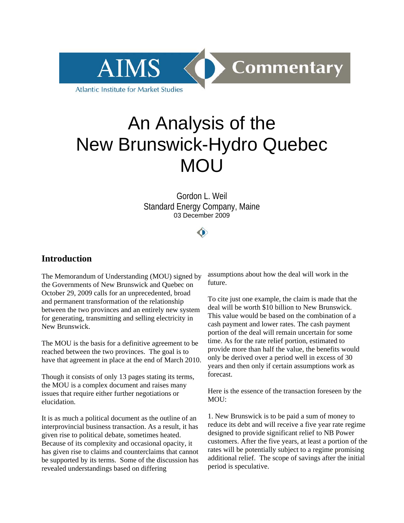

# An Analysis of the New Brunswick-Hydro Quebec MOU

Gordon L. Weil Standard Energy Company, Maine 03 December 2009

∩

# **Introduction**

The Memorandum of Understanding (MOU) signed by the Governments of New Brunswick and Quebec on October 29, 2009 calls for an unprecedented, broad and permanent transformation of the relationship between the two provinces and an entirely new system for generating, transmitting and selling electricity in New Brunswick.

The MOU is the basis for a definitive agreement to be reached between the two provinces. The goal is to have that agreement in place at the end of March 2010.

Though it consists of only 13 pages stating its terms, the MOU is a complex document and raises many issues that require either further negotiations or elucidation.

It is as much a political document as the outline of an interprovincial business transaction. As a result, it has given rise to political debate, sometimes heated. Because of its complexity and occasional opacity, it has given rise to claims and counterclaims that cannot be supported by its terms. Some of the discussion has revealed understandings based on differing

assumptions about how the deal will work in the future.

To cite just one example, the claim is made that the deal will be worth \$10 billion to New Brunswick. This value would be based on the combination of a cash payment and lower rates. The cash payment portion of the deal will remain uncertain for some time. As for the rate relief portion, estimated to provide more than half the value, the benefits would only be derived over a period well in excess of 30 years and then only if certain assumptions work as forecast.

Here is the essence of the transaction foreseen by the MOU:

1. New Brunswick is to be paid a sum of money to reduce its debt and will receive a five year rate regime designed to provide significant relief to NB Power customers. After the five years, at least a portion of the rates will be potentially subject to a regime promising additional relief. The scope of savings after the initial period is speculative.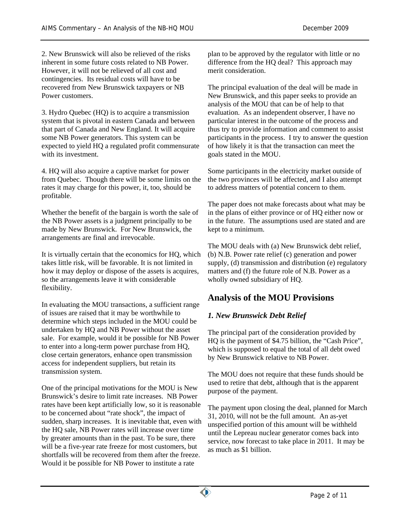2. New Brunswick will also be relieved of the risks inherent in some future costs related to NB Power. However, it will not be relieved of all cost and contingencies. Its residual costs will have to be recovered from New Brunswick taxpayers or NB Power customers.

3. Hydro Quebec (HQ) is to acquire a transmission system that is pivotal in eastern Canada and between that part of Canada and New England. It will acquire some NB Power generators. This system can be expected to yield HQ a regulated profit commensurate with its investment.

4. HQ will also acquire a captive market for power from Quebec. Though there will be some limits on the rates it may charge for this power, it, too, should be profitable.

Whether the benefit of the bargain is worth the sale of the NB Power assets is a judgment principally to be made by New Brunswick. For New Brunswick, the arrangements are final and irrevocable.

It is virtually certain that the economics for HQ, which takes little risk, will be favorable. It is not limited in how it may deploy or dispose of the assets is acquires, so the arrangements leave it with considerable flexibility.

In evaluating the MOU transactions, a sufficient range of issues are raised that it may be worthwhile to determine which steps included in the MOU could be undertaken by HQ and NB Power without the asset sale. For example, would it be possible for NB Power to enter into a long-term power purchase from HQ, close certain generators, enhance open transmission access for independent suppliers, but retain its transmission system.

One of the principal motivations for the MOU is New Brunswick's desire to limit rate increases. NB Power rates have been kept artificially low, so it is reasonable to be concerned about "rate shock", the impact of sudden, sharp increases. It is inevitable that, even with the HQ sale, NB Power rates will increase over time by greater amounts than in the past. To be sure, there will be a five-year rate freeze for most customers, but shortfalls will be recovered from them after the freeze. Would it be possible for NB Power to institute a rate

plan to be approved by the regulator with little or no difference from the HQ deal? This approach may merit consideration.

The principal evaluation of the deal will be made in New Brunswick, and this paper seeks to provide an analysis of the MOU that can be of help to that evaluation. As an independent observer, I have no particular interest in the outcome of the process and thus try to provide information and comment to assist participants in the process. I try to answer the question of how likely it is that the transaction can meet the goals stated in the MOU.

Some participants in the electricity market outside of the two provinces will be affected, and I also attempt to address matters of potential concern to them.

The paper does not make forecasts about what may be in the plans of either province or of HQ either now or in the future. The assumptions used are stated and are kept to a minimum.

The MOU deals with (a) New Brunswick debt relief, (b) N.B. Power rate relief (c) generation and power supply, (d) transmission and distribution (e) regulatory matters and (f) the future role of N.B. Power as a wholly owned subsidiary of HQ.

# **Analysis of the MOU Provisions**

# *1. New Brunswick Debt Relief*

The principal part of the consideration provided by HQ is the payment of \$4.75 billion, the "Cash Price", which is supposed to equal the total of all debt owed by New Brunswick relative to NB Power.

The MOU does not require that these funds should be used to retire that debt, although that is the apparent purpose of the payment.

The payment upon closing the deal, planned for March 31, 2010, will not be the full amount. An as-yet unspecified portion of this amount will be withheld until the Lepreau nuclear generator comes back into service, now forecast to take place in 2011. It may be as much as \$1 billion.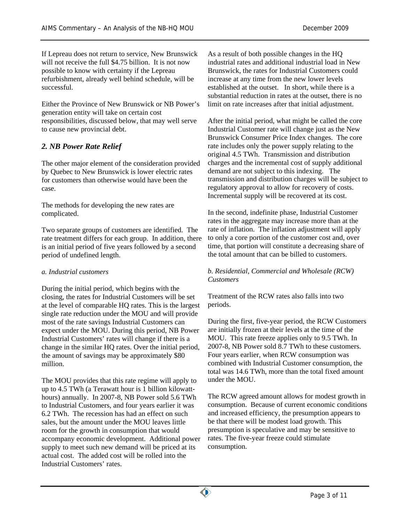If Lepreau does not return to service, New Brunswick will not receive the full \$4.75 billion. It is not now possible to know with certainty if the Lepreau refurbishment, already well behind schedule, will be successful.

Either the Province of New Brunswick or NB Power's generation entity will take on certain cost responsibilities, discussed below, that may well serve to cause new provincial debt.

## *2. NB Power Rate Relief*

The other major element of the consideration provided by Quebec to New Brunswick is lower electric rates for customers than otherwise would have been the case.

The methods for developing the new rates are complicated.

Two separate groups of customers are identified. The rate treatment differs for each group. In addition, there is an initial period of five years followed by a second period of undefined length.

#### *a. Industrial customers*

During the initial period, which begins with the closing, the rates for Industrial Customers will be set at the level of comparable HQ rates. This is the largest single rate reduction under the MOU and will provide most of the rate savings Industrial Customers can expect under the MOU. During this period, NB Power Industrial Customers' rates will change if there is a change in the similar HQ rates. Over the initial period, the amount of savings may be approximately \$80 million.

The MOU provides that this rate regime will apply to up to 4.5 TWh (a Terawatt hour is 1 billion kilowatthours) annually. In 2007-8, NB Power sold 5.6 TWh to Industrial Customers, and four years earlier it was 6.2 TWh. The recession has had an effect on such sales, but the amount under the MOU leaves little room for the growth in consumption that would accompany economic development. Additional power supply to meet such new demand will be priced at its actual cost. The added cost will be rolled into the Industrial Customers' rates.

As a result of both possible changes in the HQ industrial rates and additional industrial load in New Brunswick, the rates for Industrial Customers could increase at any time from the new lower levels established at the outset. In short, while there is a substantial reduction in rates at the outset, there is no limit on rate increases after that initial adjustment.

After the initial period, what might be called the core Industrial Customer rate will change just as the New Brunswick Consumer Price Index changes. The core rate includes only the power supply relating to the original 4.5 TWh. Transmission and distribution charges and the incremental cost of supply additional demand are not subject to this indexing. The transmission and distribution charges will be subject to regulatory approval to allow for recovery of costs. Incremental supply will be recovered at its cost.

In the second, indefinite phase, Industrial Customer rates in the aggregate may increase more than at the rate of inflation. The inflation adjustment will apply to only a core portion of the customer cost and, over time, that portion will constitute a decreasing share of the total amount that can be billed to customers.

#### *b. Residential, Commercial and Wholesale (RCW) Customers*

Treatment of the RCW rates also falls into two periods.

During the first, five-year period, the RCW Customers are initially frozen at their levels at the time of the MOU. This rate freeze applies only to 9.5 TWh. In 2007-8, NB Power sold 8.7 TWh to these customers. Four years earlier, when RCW consumption was combined with Industrial Customer consumption, the total was 14.6 TWh, more than the total fixed amount under the MOU.

The RCW agreed amount allows for modest growth in consumption. Because of current economic conditions and increased efficiency, the presumption appears to be that there will be modest load growth. This presumption is speculative and may be sensitive to rates. The five-year freeze could stimulate consumption.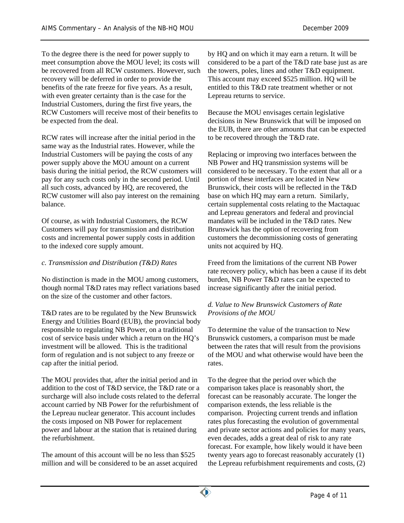To the degree there is the need for power supply to meet consumption above the MOU level; its costs will be recovered from all RCW customers. However, such recovery will be deferred in order to provide the benefits of the rate freeze for five years. As a result, with even greater certainty than is the case for the Industrial Customers, during the first five years, the RCW Customers will receive most of their benefits to be expected from the deal.

RCW rates will increase after the initial period in the same way as the Industrial rates. However, while the Industrial Customers will be paying the costs of any power supply above the MOU amount on a current basis during the initial period, the RCW customers will pay for any such costs only in the second period. Until all such costs, advanced by HQ, are recovered, the RCW customer will also pay interest on the remaining balance.

Of course, as with Industrial Customers, the RCW Customers will pay for transmission and distribution costs and incremental power supply costs in addition to the indexed core supply amount.

#### *c. Transmission and Distribution (T&D) Rates*

No distinction is made in the MOU among customers, though normal T&D rates may reflect variations based on the size of the customer and other factors.

T&D rates are to be regulated by the New Brunswick Energy and Utilities Board (EUB), the provincial body responsible to regulating NB Power, on a traditional cost of service basis under which a return on the HQ's investment will be allowed. This is the traditional form of regulation and is not subject to any freeze or cap after the initial period.

The MOU provides that, after the initial period and in addition to the cost of T&D service, the T&D rate or a surcharge will also include costs related to the deferral account carried by NB Power for the refurbishment of the Lepreau nuclear generator. This account includes the costs imposed on NB Power for replacement power and labour at the station that is retained during the refurbishment.

The amount of this account will be no less than \$525 million and will be considered to be an asset acquired by HQ and on which it may earn a return. It will be considered to be a part of the T&D rate base just as are the towers, poles, lines and other T&D equipment. This account may exceed \$525 million. HQ will be entitled to this T&D rate treatment whether or not Lepreau returns to service.

Because the MOU envisages certain legislative decisions in New Brunswick that will be imposed on the EUB, there are other amounts that can be expected to be recovered through the T&D rate.

Replacing or improving two interfaces between the NB Power and HQ transmission systems will be considered to be necessary. To the extent that all or a portion of these interfaces are located in New Brunswick, their costs will be reflected in the T&D base on which HQ may earn a return. Similarly, certain supplemental costs relating to the Mactaquac and Lepreau generators and federal and provincial mandates will be included in the T&D rates. New Brunswick has the option of recovering from customers the decommissioning costs of generating units not acquired by HQ.

Freed from the limitations of the current NB Power rate recovery policy, which has been a cause if its debt burden, NB Power T&D rates can be expected to increase significantly after the initial period.

#### *d. Value to New Brunswick Customers of Rate Provisions of the MOU*

To determine the value of the transaction to New Brunswick customers, a comparison must be made between the rates that will result from the provisions of the MOU and what otherwise would have been the rates.

To the degree that the period over which the comparison takes place is reasonably short, the forecast can be reasonably accurate. The longer the comparison extends, the less reliable is the comparison. Projecting current trends and inflation rates plus forecasting the evolution of governmental and private sector actions and policies for many years, even decades, adds a great deal of risk to any rate forecast. For example, how likely would it have been twenty years ago to forecast reasonably accurately (1) the Lepreau refurbishment requirements and costs, (2)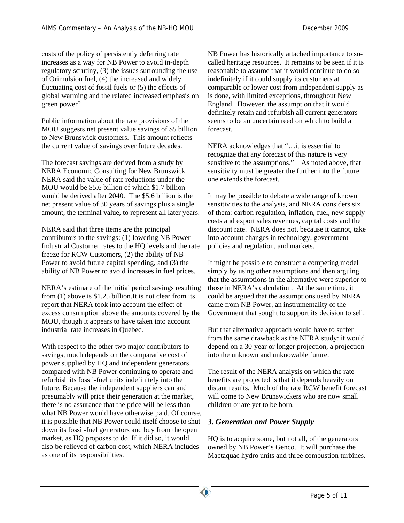costs of the policy of persistently deferring rate increases as a way for NB Power to avoid in-depth regulatory scrutiny, (3) the issues surrounding the use of Orimulsion fuel, (4) the increased and widely fluctuating cost of fossil fuels or (5) the effects of global warming and the related increased emphasis on green power?

Public information about the rate provisions of the MOU suggests net present value savings of \$5 billion to New Brunswick customers. This amount reflects the current value of savings over future decades.

The forecast savings are derived from a study by NERA Economic Consulting for New Brunswick. NERA said the value of rate reductions under the MOU would be \$5.6 billion of which \$1.7 billion would be derived after 2040. The \$5.6 billion is the net present value of 30 years of savings plus a single amount, the terminal value, to represent all later years.

NERA said that three items are the principal contributors to the savings: (1) lowering NB Power Industrial Customer rates to the HQ levels and the rate freeze for RCW Customers, (2) the ability of NB Power to avoid future capital spending, and (3) the ability of NB Power to avoid increases in fuel prices.

NERA's estimate of the initial period savings resulting from (1) above is \$1.25 billion.It is not clear from its report that NERA took into account the effect of excess consumption above the amounts covered by the MOU, though it appears to have taken into account industrial rate increases in Quebec.

With respect to the other two major contributors to savings, much depends on the comparative cost of power supplied by HQ and independent generators compared with NB Power continuing to operate and refurbish its fossil-fuel units indefinitely into the future. Because the independent suppliers can and presumably will price their generation at the market, there is no assurance that the price will be less than what NB Power would have otherwise paid. Of course, it is possible that NB Power could itself choose to shut down its fossil-fuel generators and buy from the open market, as HQ proposes to do. If it did so, it would also be relieved of carbon cost, which NERA includes as one of its responsibilities.

NB Power has historically attached importance to socalled heritage resources. It remains to be seen if it is reasonable to assume that it would continue to do so indefinitely if it could supply its customers at comparable or lower cost from independent supply as is done, with limited exceptions, throughout New England. However, the assumption that it would definitely retain and refurbish all current generators seems to be an uncertain reed on which to build a forecast.

NERA acknowledges that "…it is essential to recognize that any forecast of this nature is very sensitive to the assumptions." As noted above, that sensitivity must be greater the further into the future one extends the forecast.

It may be possible to debate a wide range of known sensitivities to the analysis, and NERA considers six of them: carbon regulation, inflation, fuel, new supply costs and export sales revenues, capital costs and the discount rate. NERA does not, because it cannot, take into account changes in technology, government policies and regulation, and markets.

It might be possible to construct a competing model simply by using other assumptions and then arguing that the assumptions in the alternative were superior to those in NERA's calculation. At the same time, it could be argued that the assumptions used by NERA came from NB Power, an instrumentality of the Government that sought to support its decision to sell.

But that alternative approach would have to suffer from the same drawback as the NERA study: it would depend on a 30-year or longer projection, a projection into the unknown and unknowable future.

The result of the NERA analysis on which the rate benefits are projected is that it depends heavily on distant results. Much of the rate RCW benefit forecast will come to New Brunswickers who are now small children or are yet to be born.

# *3. Generation and Power Supply*

HQ is to acquire some, but not all, of the generators owned by NB Power's Genco. It will purchase the Mactaquac hydro units and three combustion turbines.

 $\bullet$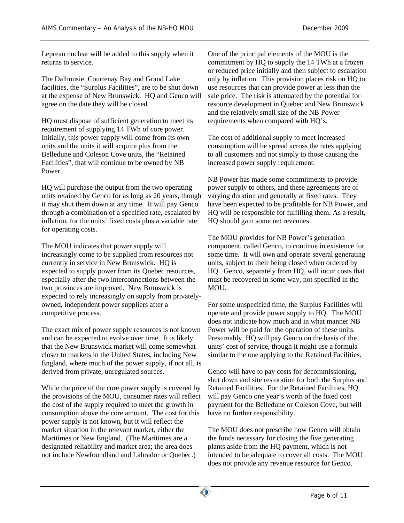Lepreau nuclear will be added to this supply when it returns to service.

The Dalhousie, Courtenay Bay and Grand Lake facilities, the "Surplus Facilities", are to be shut down at the expense of New Brunswick. HQ and Genco will agree on the date they will be closed.

HQ must dispose of sufficient generation to meet its requirement of supplying 14 TWh of core power. Initially, this power supply will come from its own units and the units it will acquire plus from the Belledune and Coleson Cove units, the "Retained Facilities", that will continue to be owned by NB Power.

HQ will purchase the output from the two operating units retained by Genco for as long as 20 years, though it may shut them down at any time. It will pay Genco through a combination of a specified rate, escalated by inflation, for the units' fixed costs plus a variable rate for operating costs.

The MOU indicates that power supply will increasingly come to be supplied from resources not currently in service in New Brunswick. HQ is expected to supply power from its Quebec resources, especially after the two interconnections between the two provinces are improved. New Brunswick is expected to rely increasingly on supply from privatelyowned, independent power suppliers after a competitive process.

The exact mix of power supply resources is not known and can be expected to evolve over time. It is likely that the New Brunswick market will come somewhat closer to markets in the United States, including New England, where much of the power supply, if not all, is derived from private, unregulated sources.

While the price of the core power supply is covered by the provisions of the MOU, consumer rates will reflect the cost of the supply required to meet the growth in consumption above the core amount. The cost for this power supply is not known, but it will reflect the market situation in the relevant market, either the Maritimes or New England. (The Maritimes are a designated reliability and market area; the area does not include Newfoundland and Labrador or Quebec.)

One of the principal elements of the MOU is the commitment by HQ to supply the 14 TWh at a frozen or reduced price initially and then subject to escalation only by inflation. This provision places risk on HQ to use resources that can provide power at less than the sale price. The risk is attenuated by the potential for resource development in Quebec and New Brunswick and the relatively small size of the NB Power requirements when compared with HQ's.

The cost of additional supply to meet increased consumption will be spread across the rates applying to all customers and not simply to those causing the increased power supply requirement.

NB Power has made some commitments to provide power supply to others, and these agreements are of varying duration and generally at fixed rates. They have been expected to be profitable for NB Power, and HQ will be responsible for fulfilling them. As a result, HQ should gain some net revenues.

The MOU provides for NB Power's generation component, called Genco, to continue in existence for some time. It will own and operate several generating units, subject to their being closed when ordered by HQ. Genco, separately from HQ, will incur costs that must be recovered in some way, not specified in the MOU.

For some unspecified time, the Surplus Facilities will operate and provide power supply to HQ. The MOU does not indicate how much and in what manner NB Power will be paid for the operation of these units. Presumably, HQ will pay Genco on the basis of the units' cost of service, though it might use a formula similar to the one applying to the Retained Facilities.

Genco will have to pay costs for decommissioning, shut down and site restoration for both the Surplus and Retained Facilities. For the Retained Facilities, HQ will pay Genco one year's worth of the fixed cost payment for the Belledune or Coleson Cove, but will have no further responsibility.

The MOU does not prescribe how Genco will obtain the funds necessary for closing the five generating plants aside from the HQ payment, which is not intended to be adequate to cover all costs. The MOU does not provide any revenue resource for Genco.

 $\bullet$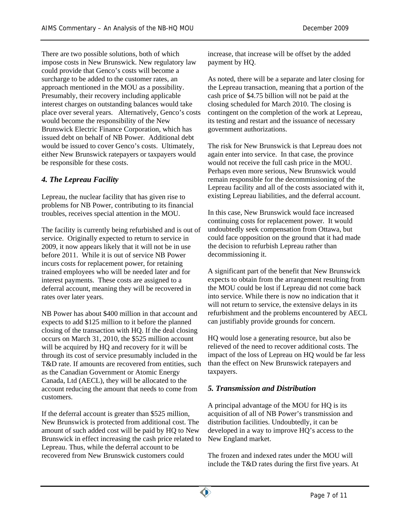There are two possible solutions, both of which impose costs in New Brunswick. New regulatory law could provide that Genco's costs will become a surcharge to be added to the customer rates, an approach mentioned in the MOU as a possibility. Presumably, their recovery including applicable interest charges on outstanding balances would take place over several years. Alternatively, Genco's costs would become the responsibility of the New Brunswick Electric Finance Corporation, which has issued debt on behalf of NB Power. Additional debt would be issued to cover Genco's costs. Ultimately, either New Brunswick ratepayers or taxpayers would be responsible for these costs.

# *4. The Lepreau Facility*

Lepreau, the nuclear facility that has given rise to problems for NB Power, contributing to its financial troubles, receives special attention in the MOU.

The facility is currently being refurbished and is out of service. Originally expected to return to service in 2009, it now appears likely that it will not be in use before 2011. While it is out of service NB Power incurs costs for replacement power, for retaining trained employees who will be needed later and for interest payments. These costs are assigned to a deferral account, meaning they will be recovered in rates over later years.

NB Power has about \$400 million in that account and expects to add \$125 million to it before the planned closing of the transaction with HQ. If the deal closing occurs on March 31, 2010, the \$525 million account will be acquired by HQ and recovery for it will be through its cost of service presumably included in the T&D rate. If amounts are recovered from entities, such as the Canadian Government or Atomic Energy Canada, Ltd (AECL), they will be allocated to the account reducing the amount that needs to come from customers.

If the deferral account is greater than \$525 million, New Brunswick is protected from additional cost. The amount of such added cost will be paid by HQ to New Brunswick in effect increasing the cash price related to Lepreau. Thus, while the deferral account to be recovered from New Brunswick customers could

increase, that increase will be offset by the added payment by HQ.

As noted, there will be a separate and later closing for the Lepreau transaction, meaning that a portion of the cash price of \$4.75 billion will not be paid at the closing scheduled for March 2010. The closing is contingent on the completion of the work at Lepreau, its testing and restart and the issuance of necessary government authorizations.

The risk for New Brunswick is that Lepreau does not again enter into service. In that case, the province would not receive the full cash price in the MOU. Perhaps even more serious, New Brunswick would remain responsible for the decommissioning of the Lepreau facility and all of the costs associated with it, existing Lepreau liabilities, and the deferral account.

In this case, New Brunswick would face increased continuing costs for replacement power. It would undoubtedly seek compensation from Ottawa, but could face opposition on the ground that it had made the decision to refurbish Lepreau rather than decommissioning it.

A significant part of the benefit that New Brunswick expects to obtain from the arrangement resulting from the MOU could be lost if Lepreau did not come back into service. While there is now no indication that it will not return to service, the extensive delays in its refurbishment and the problems encountered by AECL can justifiably provide grounds for concern.

HQ would lose a generating resource, but also be relieved of the need to recover additional costs. The impact of the loss of Lepreau on HQ would be far less than the effect on New Brunswick ratepayers and taxpayers.

# *5. Transmission and Distribution*

A principal advantage of the MOU for HQ is its acquisition of all of NB Power's transmission and distribution facilities. Undoubtedly, it can be developed in a way to improve HQ's access to the New England market.

The frozen and indexed rates under the MOU will include the T&D rates during the first five years. At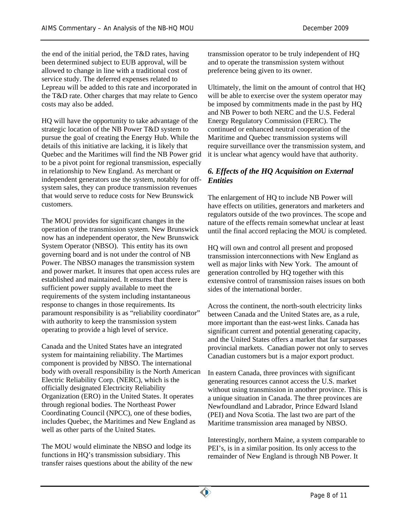the end of the initial period, the T&D rates, having been determined subject to EUB approval, will be allowed to change in line with a traditional cost of service study. The deferred expenses related to Lepreau will be added to this rate and incorporated in the T&D rate. Other charges that may relate to Genco costs may also be added.

HQ will have the opportunity to take advantage of the strategic location of the NB Power T&D system to pursue the goal of creating the Energy Hub. While the details of this initiative are lacking, it is likely that Quebec and the Maritimes will find the NB Power grid to be a pivot point for regional transmission, especially in relationship to New England. As merchant or independent generators use the system, notably for offsystem sales, they can produce transmission revenues that would serve to reduce costs for New Brunswick customers.

The MOU provides for significant changes in the operation of the transmission system. New Brunswick now has an independent operator, the New Brunswick System Operator (NBSO). This entity has its own governing board and is not under the control of NB Power. The NBSO manages the transmission system and power market. It insures that open access rules are established and maintained. It ensures that there is sufficient power supply available to meet the requirements of the system including instantaneous response to changes in those requirements. Its paramount responsibility is as "reliability coordinator" with authority to keep the transmission system operating to provide a high level of service.

Canada and the United States have an integrated system for maintaining reliability. The Martimes component is provided by NBSO. The international body with overall responsibility is the North American Electric Reliability Corp. (NERC), which is the officially designated Electricity Reliability Organization (ERO) in the United States. It operates through regional bodies. The Northeast Power Coordinating Council (NPCC), one of these bodies, includes Quebec, the Maritimes and New England as well as other parts of the United States.

The MOU would eliminate the NBSO and lodge its functions in HQ's transmission subsidiary. This transfer raises questions about the ability of the new transmission operator to be truly independent of HQ and to operate the transmission system without preference being given to its owner.

Ultimately, the limit on the amount of control that HQ will be able to exercise over the system operator may be imposed by commitments made in the past by HQ and NB Power to both NERC and the U.S. Federal Energy Regulatory Commission (FERC). The continued or enhanced neutral cooperation of the Maritime and Quebec transmission systems will require surveillance over the transmission system, and it is unclear what agency would have that authority.

## *6. Effects of the HQ Acquisition on External Entities*

The enlargement of HQ to include NB Power will have effects on utilities, generators and marketers and regulators outside of the two provinces. The scope and nature of the effects remain somewhat unclear at least until the final accord replacing the MOU is completed.

HQ will own and control all present and proposed transmission interconnections with New England as well as major links with New York. The amount of generation controlled by HQ together with this extensive control of transmission raises issues on both sides of the international border.

Across the continent, the north-south electricity links between Canada and the United States are, as a rule, more important than the east-west links. Canada has significant current and potential generating capacity, and the United States offers a market that far surpasses provincial markets. Canadian power not only to serves Canadian customers but is a major export product.

In eastern Canada, three provinces with significant generating resources cannot access the U.S. market without using transmission in another province. This is a unique situation in Canada. The three provinces are Newfoundland and Labrador, Prince Edward Island (PEI) and Nova Scotia. The last two are part of the Maritime transmission area managed by NBSO.

Interestingly, northern Maine, a system comparable to PEI's, is in a similar position. Its only access to the remainder of New England is through NB Power. It

 $\bullet$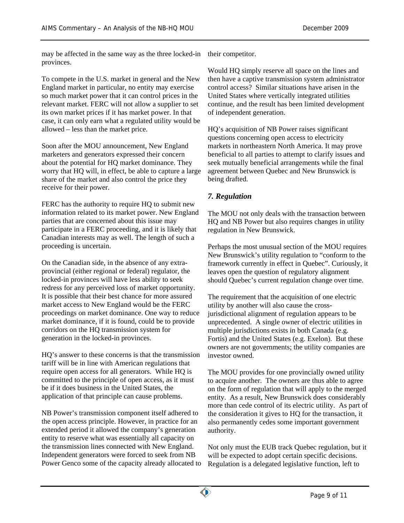may be affected in the same way as the three locked-in provinces.

To compete in the U.S. market in general and the New England market in particular, no entity may exercise so much market power that it can control prices in the relevant market. FERC will not allow a supplier to set its own market prices if it has market power. In that case, it can only earn what a regulated utility would be allowed – less than the market price.

Soon after the MOU announcement, New England marketers and generators expressed their concern about the potential for HQ market dominance. They worry that HQ will, in effect, be able to capture a large share of the market and also control the price they receive for their power.

FERC has the authority to require HQ to submit new information related to its market power. New England parties that are concerned about this issue may participate in a FERC proceeding, and it is likely that Canadian interests may as well. The length of such a proceeding is uncertain.

On the Canadian side, in the absence of any extraprovincial (either regional or federal) regulator, the locked-in provinces will have less ability to seek redress for any perceived loss of market opportunity. It is possible that their best chance for more assured market access to New England would be the FERC proceedings on market dominance. One way to reduce market dominance, if it is found, could be to provide corridors on the HQ transmission system for generation in the locked-in provinces.

HQ's answer to these concerns is that the transmission tariff will be in line with American regulations that require open access for all generators. While HQ is committed to the principle of open access, as it must be if it does business in the United States, the application of that principle can cause problems.

NB Power's transmission component itself adhered to the open access principle. However, in practice for an extended period it allowed the company's generation entity to reserve what was essentially all capacity on the transmission lines connected with New England. Independent generators were forced to seek from NB Power Genco some of the capacity already allocated to their competitor.

Would HQ simply reserve all space on the lines and then have a captive transmission system administrator control access? Similar situations have arisen in the United States where vertically integrated utilities continue, and the result has been limited development of independent generation.

HQ's acquisition of NB Power raises significant questions concerning open access to electricity markets in northeastern North America. It may prove beneficial to all parties to attempt to clarify issues and seek mutually beneficial arrangements while the final agreement between Quebec and New Brunswick is being drafted.

## *7. Regulation*

The MOU not only deals with the transaction between HQ and NB Power but also requires changes in utility regulation in New Brunswick.

Perhaps the most unusual section of the MOU requires New Brunswick's utility regulation to "conform to the framework currently in effect in Quebec". Curiously, it leaves open the question of regulatory alignment should Quebec's current regulation change over time.

The requirement that the acquisition of one electric utility by another will also cause the crossjurisdictional alignment of regulation appears to be unprecedented. A single owner of electric utilities in multiple jurisdictions exists in both Canada (e.g. Fortis) and the United States (e.g. Exelon). But these owners are not governments; the utility companies are investor owned.

The MOU provides for one provincially owned utility to acquire another. The owners are thus able to agree on the form of regulation that will apply to the merged entity. As a result, New Brunswick does considerably more than cede control of its electric utility. As part of the consideration it gives to HQ for the transaction, it also permanently cedes some important government authority.

Not only must the EUB track Quebec regulation, but it will be expected to adopt certain specific decisions. Regulation is a delegated legislative function, left to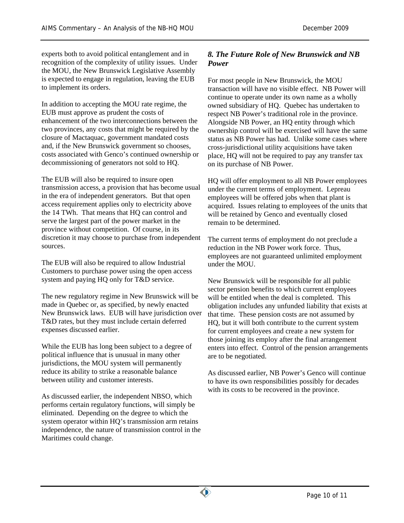experts both to avoid political entanglement and in recognition of the complexity of utility issues. Under the MOU, the New Brunswick Legislative Assembly is expected to engage in regulation, leaving the EUB to implement its orders.

In addition to accepting the MOU rate regime, the EUB must approve as prudent the costs of enhancement of the two interconnections between the two provinces, any costs that might be required by the closure of Mactaquac, government mandated costs and, if the New Brunswick government so chooses, costs associated with Genco's continued ownership or decommissioning of generators not sold to HQ.

The EUB will also be required to insure open transmission access, a provision that has become usual in the era of independent generators. But that open access requirement applies only to electricity above the 14 TWh. That means that HQ can control and serve the largest part of the power market in the province without competition. Of course, in its discretion it may choose to purchase from independent sources.

The EUB will also be required to allow Industrial Customers to purchase power using the open access system and paying HQ only for T&D service.

The new regulatory regime in New Brunswick will be made in Quebec or, as specified, by newly enacted New Brunswick laws. EUB will have jurisdiction over T&D rates, but they must include certain deferred expenses discussed earlier.

While the EUB has long been subject to a degree of political influence that is unusual in many other jurisdictions, the MOU system will permanently reduce its ability to strike a reasonable balance between utility and customer interests.

As discussed earlier, the independent NBSO, which performs certain regulatory functions, will simply be eliminated. Depending on the degree to which the system operator within HQ's transmission arm retains independence, the nature of transmission control in the Maritimes could change.

## *8. The Future Role of New Brunswick and NB Power*

For most people in New Brunswick, the MOU transaction will have no visible effect. NB Power will continue to operate under its own name as a wholly owned subsidiary of HQ. Quebec has undertaken to respect NB Power's traditional role in the province. Alongside NB Power, an HQ entity through which ownership control will be exercised will have the same status as NB Power has had. Unlike some cases where cross-jurisdictional utility acquisitions have taken place, HQ will not be required to pay any transfer tax on its purchase of NB Power.

HQ will offer employment to all NB Power employees under the current terms of employment. Lepreau employees will be offered jobs when that plant is acquired. Issues relating to employees of the units that will be retained by Genco and eventually closed remain to be determined.

The current terms of employment do not preclude a reduction in the NB Power work force. Thus, employees are not guaranteed unlimited employment under the MOU.

New Brunswick will be responsible for all public sector pension benefits to which current employees will be entitled when the deal is completed. This obligation includes any unfunded liability that exists at that time. These pension costs are not assumed by HQ, but it will both contribute to the current system for current employees and create a new system for those joining its employ after the final arrangement enters into effect. Control of the pension arrangements are to be negotiated.

As discussed earlier, NB Power's Genco will continue to have its own responsibilities possibly for decades with its costs to be recovered in the province.